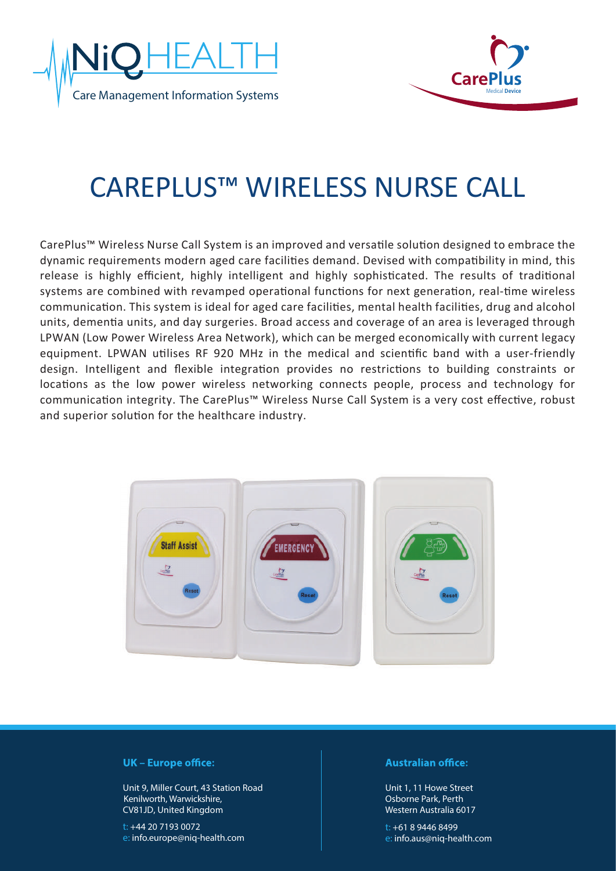



# CAREPLUS™ WIRELESS NURSE CALL

CarePlus™ Wireless Nurse Call System is an improved and versatile solution designed to embrace the dynamic requirements modern aged care facilities demand. Devised with compatibility in mind, this release is highly efficient, highly intelligent and highly sophisticated. The results of traditional systems are combined with revamped operational functions for next generation, real-time wireless communication. This system is ideal for aged care facilities, mental health facilities, drug and alcohol units, dementia units, and day surgeries. Broad access and coverage of an area is leveraged through LPWAN (Low Power Wireless Area Network), which can be merged economically with current legacy equipment. LPWAN utilises RF 920 MHz in the medical and scientific band with a user-friendly design. Intelligent and flexible integration provides no restrictions to building constraints or locations as the low power wireless networking connects people, process and technology for communication integrity. The CarePlus™ Wireless Nurse Call System is a very cost effective, robust and superior solution for the healthcare industry.



## **UK** – Europe office:

Unit 9, Miller Court, 43 Station Road CV81JD, United Kingdom Kenilworth, Warwickshire,

t: +44 20 7193 0072 e: info.europe@niq-health.com

### **Australian office:**

Unit 1, 11 Howe Street Osborne Park, Perth Western Australia 6017

t: +61 8 9446 8499 e: info.aus@niq-health.com